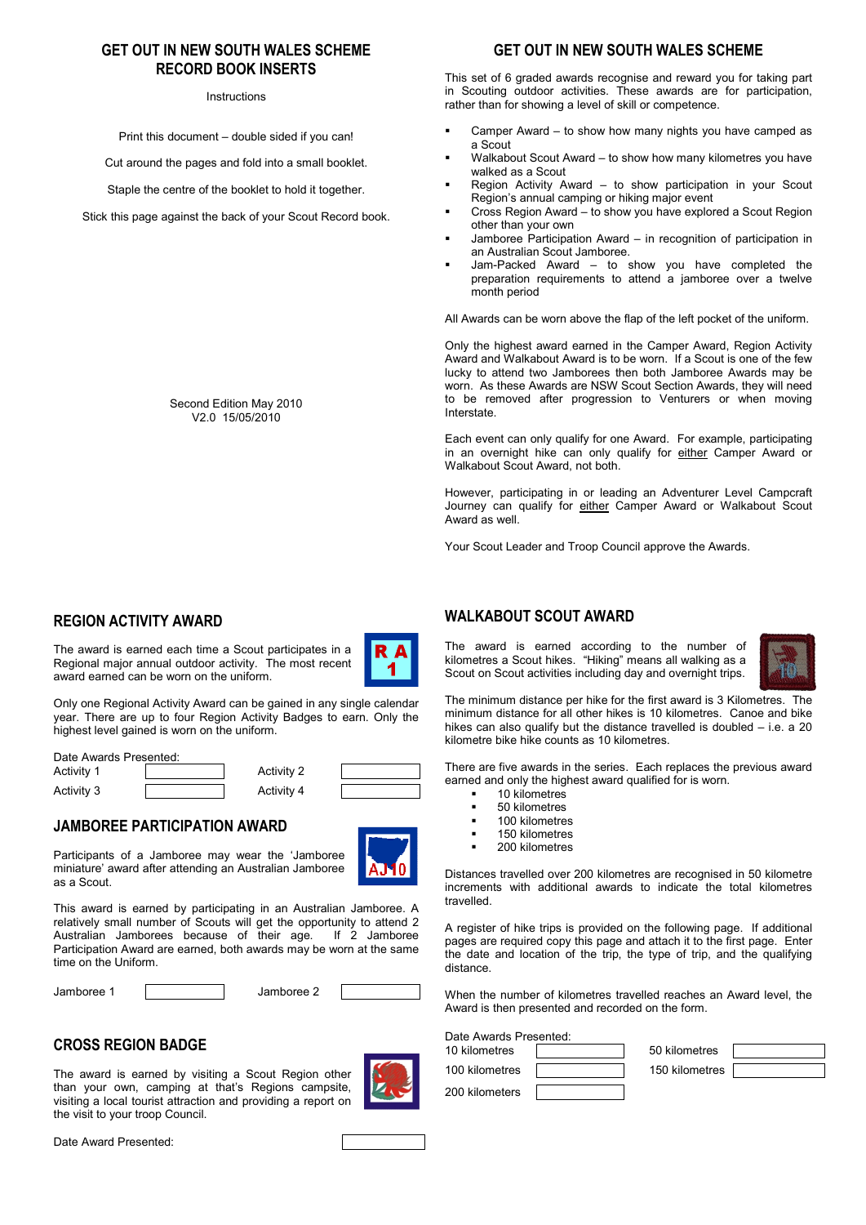### **GET OUT IN NEW SOUTH WALES SCHEME RECORD BOOK INSERTS**

#### Instructions

Print this document – double sided if you can!

Cut around the pages and fold into a small booklet.

Staple the centre of the booklet to hold it together.

Stick this page against the back of your Scout Record book.

Second Edition May 2010 V2.0 15/05/2010

### **REGION ACTIVITY AWARD**

The award is earned each time a Scout participates in a Regional major annual outdoor activity. The most recent award earned can be worn on the uniform.



Only one Regional Activity Award can be gained in any single calendar year. There are up to four Region Activity Badges to earn. Only the highest level gained is worn on the uniform.

Date Awards Presented: Activity 1 **Activity 2** Activity 2

Activity 3 Activity 4

### **JAMBOREE PARTICIPATION AWARD**

Participants of a Jamboree may wear the 'Jamboree miniature' award after attending an Australian Jamboree as a Scout.



This award is earned by participating in an Australian Jamboree. A relatively small number of Scouts will get the opportunity to attend 2<br>Australian Jamborees because of their age if 2 Jamboree Australian Jamborees because of their age. Participation Award are earned, both awards may be worn at the same time on the Uniform.

Jamboree 1 Jamboree 2

# **CROSS REGION BADGE**

The award is earned by visiting a Scout Region other than your own, camping at that's Regions campsite, visiting a local tourist attraction and providing a report on the visit to your troop Council.



Date Award Presented:

# **GET OUT IN NEW SOUTH WALES SCHEME**

This set of 6 graded awards recognise and reward you for taking part in Scouting outdoor activities. These awards are for participation, rather than for showing a level of skill or competence.

- Camper Award to show how many nights you have camped as a Scout
- Walkabout Scout Award to show how many kilometres you have walked as a Scout
- Region Activity Award to show participation in your Scout Region's annual camping or hiking major event
- Cross Region Award to show you have explored a Scout Region other than your own
- Jamboree Participation Award in recognition of participation in an Australian Scout Jamboree.
- Jam-Packed Award to show you have completed the preparation requirements to attend a jamboree over a twelve month period

All Awards can be worn above the flap of the left pocket of the uniform.

Only the highest award earned in the Camper Award, Region Activity Award and Walkabout Award is to be worn. If a Scout is one of the few lucky to attend two Jamborees then both Jamboree Awards may be worn. As these Awards are NSW Scout Section Awards, they will need to be removed after progression to Venturers or when moving Interstate.

Each event can only qualify for one Award. For example, participating in an overnight hike can only qualify for either Camper Award or Walkabout Scout Award, not both.

However, participating in or leading an Adventurer Level Campcraft Journey can qualify for either Camper Award or Walkabout Scout Award as well.

Your Scout Leader and Troop Council approve the Awards.

#### **WALKABOUT SCOUT AWARD**

The award is earned according to the number of kilometres a Scout hikes. "Hiking" means all walking as a Scout on Scout activities including day and overnight trips.



The minimum distance per hike for the first award is 3 Kilometres. The minimum distance for all other hikes is 10 kilometres. Canoe and bike hikes can also qualify but the distance travelled is doubled – i.e. a 20 kilometre bike hike counts as 10 kilometres.

There are five awards in the series. Each replaces the previous award earned and only the highest award qualified for is worn.

- 10 kilometres
- 50 kilometres
- 100 kilometres
- 150 kilometres
- 200 kilometres

Distances travelled over 200 kilometres are recognised in 50 kilometre increments with additional awards to indicate the total kilometres travelled.

A register of hike trips is provided on the following page. If additional pages are required copy this page and attach it to the first page. Enter the date and location of the trip, the type of trip, and the qualifying distance.

When the number of kilometres travelled reaches an Award level, the Award is then presented and recorded on the form.

Date Awards Presented:

| 10 kilometres  | 50 kilometres  |  |
|----------------|----------------|--|
| 100 kilometres | 150 kilometres |  |
| 200 kilometers |                |  |